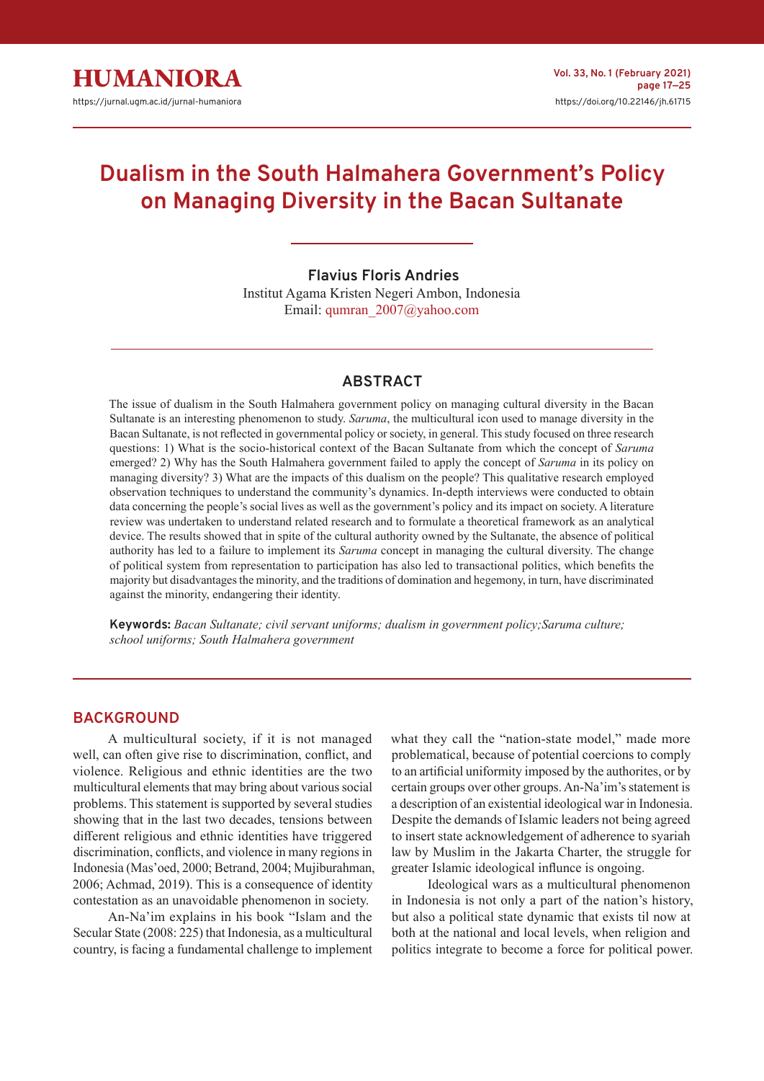# **Dualism in the South Halmahera Government's Policy on Managing Diversity in the Bacan Sultanate**

 **Flavius Floris Andries** Institut Agama Kristen Negeri Ambon, Indonesia Email: qumran\_2007@yahoo.com

## **ABSTRACT**

The issue of dualism in the South Halmahera government policy on managing cultural diversity in the Bacan Sultanate is an interesting phenomenon to study. *Saruma*, the multicultural icon used to manage diversity in the Bacan Sultanate, is not reflected in governmental policy or society, in general. This study focused on three research questions: 1) What is the socio-historical context of the Bacan Sultanate from which the concept of *Saruma* emerged? 2) Why has the South Halmahera government failed to apply the concept of *Saruma* in its policy on managing diversity? 3) What are the impacts of this dualism on the people? This qualitative research employed observation techniques to understand the community's dynamics. In-depth interviews were conducted to obtain data concerning the people's social lives as well as the government's policy and its impact on society. A literature review was undertaken to understand related research and to formulate a theoretical framework as an analytical device. The results showed that in spite of the cultural authority owned by the Sultanate, the absence of political authority has led to a failure to implement its *Saruma* concept in managing the cultural diversity. The change of political system from representation to participation has also led to transactional politics, which benefits the majority but disadvantages the minority, and the traditions of domination and hegemony, in turn, have discriminated against the minority, endangering their identity.

**Keywords:** *Bacan Sultanate; civil servant uniforms; dualism in government policy;Saruma culture; school uniforms; South Halmahera government*

### **BACKGROUND**

A multicultural society, if it is not managed well, can often give rise to discrimination, conflict, and violence. Religious and ethnic identities are the two multicultural elements that may bring about various social problems. This statement is supported by several studies showing that in the last two decades, tensions between different religious and ethnic identities have triggered discrimination, conflicts, and violence in many regions in Indonesia (Mas'oed, 2000; Betrand, 2004; Mujiburahman, 2006; Achmad, 2019). This is a consequence of identity contestation as an unavoidable phenomenon in society.

An-Na'im explains in his book "Islam and the Secular State (2008: 225) that Indonesia, as a multicultural country, is facing a fundamental challenge to implement what they call the "nation-state model," made more problematical, because of potential coercions to comply to an artificial uniformity imposed by the authorites, or by certain groups over other groups. An-Na'im's statement is a description of an existential ideological war in Indonesia. Despite the demands of Islamic leaders not being agreed to insert state acknowledgement of adherence to syariah law by Muslim in the Jakarta Charter, the struggle for greater Islamic ideological influnce is ongoing.

Ideological wars as a multicultural phenomenon in Indonesia is not only a part of the nation's history, but also a political state dynamic that exists til now at both at the national and local levels, when religion and politics integrate to become a force for political power.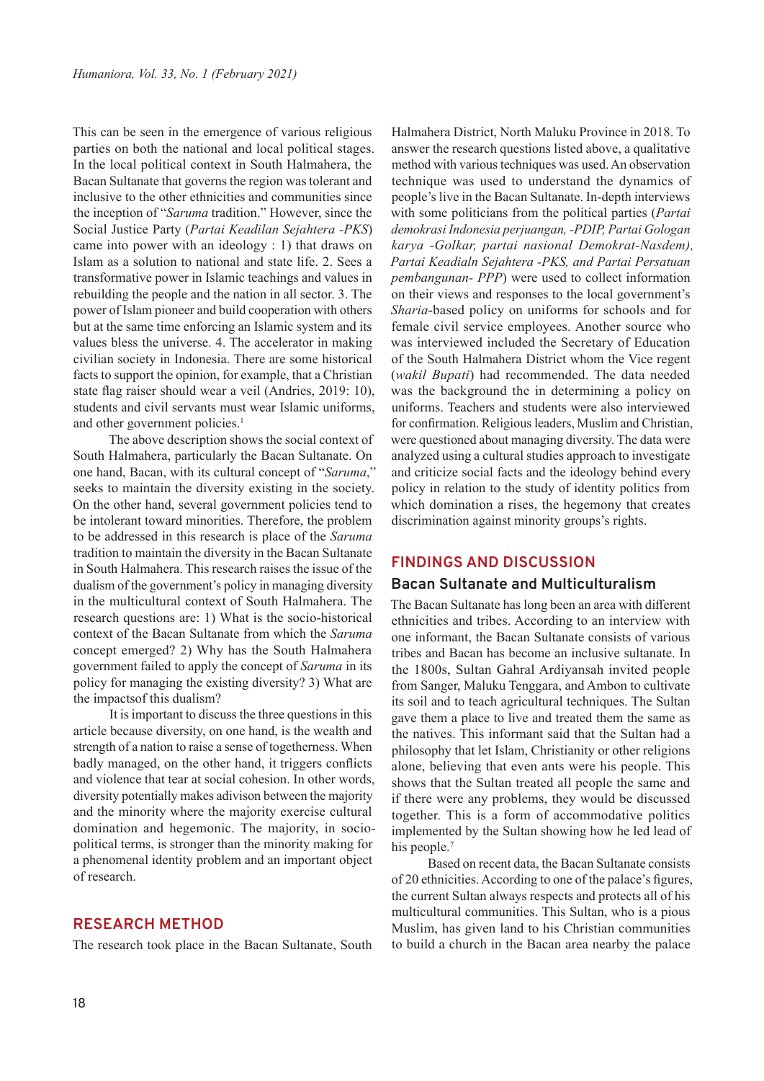This can be seen in the emergence of various religious parties on both the national and local political stages. In the local political context in South Halmahera, the Bacan Sultanate that governs the region was tolerant and inclusive to the other ethnicities and communities since the inception of "*Saruma* tradition." However, since the Social Justice Party (*Partai Keadilan Sejahtera -PKS*) came into power with an ideology : 1) that draws on Islam as a solution to national and state life. 2. Sees a transformative power in Islamic teachings and values in rebuilding the people and the nation in all sector. 3. The power of Islam pioneer and build cooperation with others but at the same time enforcing an Islamic system and its values bless the universe. 4. The accelerator in making civilian society in Indonesia. There are some historical facts to support the opinion, for example, that a Christian state flag raiser should wear a veil (Andries, 2019: 10), students and civil servants must wear Islamic uniforms, and other government policies.<sup>1</sup>

The above description shows the social context of South Halmahera, particularly the Bacan Sultanate. On one hand, Bacan, with its cultural concept of "*Saruma*," seeks to maintain the diversity existing in the society. On the other hand, several government policies tend to be intolerant toward minorities. Therefore, the problem to be addressed in this research is place of the *Saruma* tradition to maintain the diversity in the Bacan Sultanate in South Halmahera. This research raises the issue of the dualism of the government's policy in managing diversity in the multicultural context of South Halmahera. The research questions are: 1) What is the socio-historical context of the Bacan Sultanate from which the *Saruma* concept emerged? 2) Why has the South Halmahera government failed to apply the concept of *Saruma* in its policy for managing the existing diversity? 3) What are the impactsof this dualism?

It is important to discuss the three questions in this article because diversity, on one hand, is the wealth and strength of a nation to raise a sense of togetherness. When badly managed, on the other hand, it triggers conflicts and violence that tear at social cohesion. In other words, diversity potentially makes adivison between the majority and the minority where the majority exercise cultural domination and hegemonic. The majority, in sociopolitical terms, is stronger than the minority making for a phenomenal identity problem and an important object of research.

## **RESEARCH METHOD**

The research took place in the Bacan Sultanate, South

Halmahera District, North Maluku Province in 2018. To answer the research questions listed above, a qualitative method with various techniques was used. An observation technique was used to understand the dynamics of people's live in the Bacan Sultanate. In-depth interviews with some politicians from the political parties (*Partai demokrasi Indonesia perjuangan, -PDIP, Partai Gologan karya -Golkar, partai nasional Demokrat-Nasdem), Partai Keadialn Sejahtera -PKS, and Partai Persatuan pembangunan- PPP*) were used to collect information on their views and responses to the local government's *Sharia*-based policy on uniforms for schools and for female civil service employees. Another source who was interviewed included the Secretary of Education of the South Halmahera District whom the Vice regent (*wakil Bupati*) had recommended. The data needed was the background the in determining a policy on uniforms. Teachers and students were also interviewed for confirmation. Religious leaders, Muslim and Christian, were questioned about managing diversity. The data were analyzed using a cultural studies approach to investigate and criticize social facts and the ideology behind every policy in relation to the study of identity politics from which domination a rises, the hegemony that creates discrimination against minority groups's rights.

### **FINDINGS AND DISCUSSION**

#### **Bacan Sultanate and Multiculturalism**

The Bacan Sultanate has long been an area with different ethnicities and tribes. According to an interview with one informant, the Bacan Sultanate consists of various tribes and Bacan has become an inclusive sultanate. In the 1800s, Sultan Gahral Ardiyansah invited people from Sanger, Maluku Tenggara, and Ambon to cultivate its soil and to teach agricultural techniques. The Sultan gave them a place to live and treated them the same as the natives. This informant said that the Sultan had a philosophy that let Islam, Christianity or other religions alone, believing that even ants were his people. This shows that the Sultan treated all people the same and if there were any problems, they would be discussed together. This is a form of accommodative politics implemented by the Sultan showing how he led lead of his people.<sup>7</sup>

Based on recent data, the Bacan Sultanate consists of 20 ethnicities. According to one of the palace's figures, the current Sultan always respects and protects all of his multicultural communities. This Sultan, who is a pious Muslim, has given land to his Christian communities to build a church in the Bacan area nearby the palace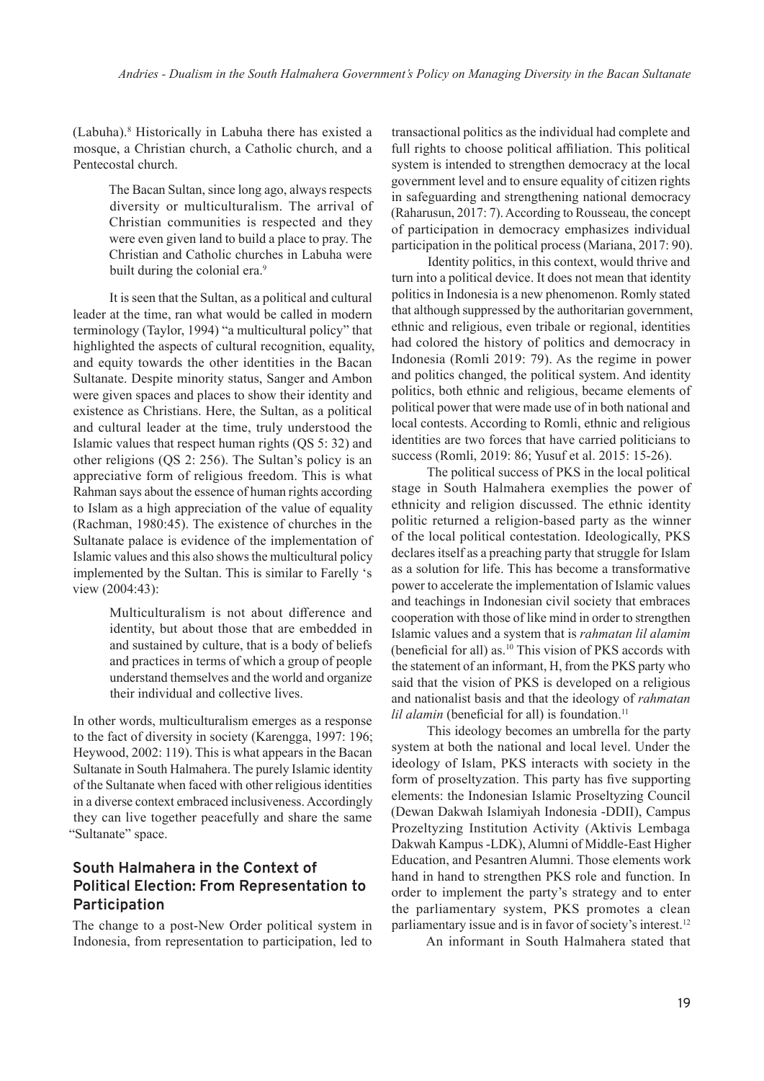(Labuha).<sup>8</sup> Historically in Labuha there has existed a mosque, a Christian church, a Catholic church, and a Pentecostal church.

> The Bacan Sultan, since long ago, always respects diversity or multiculturalism. The arrival of Christian communities is respected and they were even given land to build a place to pray. The Christian and Catholic churches in Labuha were built during the colonial era.<sup>9</sup>

It is seen that the Sultan, as a political and cultural leader at the time, ran what would be called in modern terminology (Taylor, 1994) "a multicultural policy" that highlighted the aspects of cultural recognition, equality, and equity towards the other identities in the Bacan Sultanate. Despite minority status, Sanger and Ambon were given spaces and places to show their identity and existence as Christians. Here, the Sultan, as a political and cultural leader at the time, truly understood the Islamic values that respect human rights (QS 5: 32) and other religions (QS 2: 256). The Sultan's policy is an appreciative form of religious freedom. This is what Rahman says about the essence of human rights according to Islam as a high appreciation of the value of equality (Rachman, 1980:45). The existence of churches in the Sultanate palace is evidence of the implementation of Islamic values and this also shows the multicultural policy implemented by the Sultan. This is similar to Farelly 's view (2004:43):

> Multiculturalism is not about difference and identity, but about those that are embedded in and sustained by culture, that is a body of beliefs and practices in terms of which a group of people understand themselves and the world and organize their individual and collective lives.

In other words, multiculturalism emerges as a response to the fact of diversity in society (Karengga, 1997: 196; Heywood, 2002: 119). This is what appears in the Bacan Sultanate in South Halmahera. The purely Islamic identity of the Sultanate when faced with other religious identities in a diverse context embraced inclusiveness. Accordingly they can live together peacefully and share the same "Sultanate" space.

# **South Halmahera in the Context of Political Election: From Representation to Participation**

The change to a post-New Order political system in Indonesia, from representation to participation, led to transactional politics as the individual had complete and full rights to choose political affiliation. This political system is intended to strengthen democracy at the local government level and to ensure equality of citizen rights in safeguarding and strengthening national democracy (Raharusun, 2017: 7). According to Rousseau, the concept of participation in democracy emphasizes individual participation in the political process (Mariana, 2017: 90).

Identity politics, in this context, would thrive and turn into a political device. It does not mean that identity politics in Indonesia is a new phenomenon. Romly stated that although suppressed by the authoritarian government, ethnic and religious, even tribale or regional, identities had colored the history of politics and democracy in Indonesia (Romli 2019: 79). As the regime in power and politics changed, the political system. And identity politics, both ethnic and religious, became elements of political power that were made use of in both national and local contests. According to Romli, ethnic and religious identities are two forces that have carried politicians to success (Romli, 2019: 86; Yusuf et al. 2015: 15-26).

The political success of PKS in the local political stage in South Halmahera exemplies the power of ethnicity and religion discussed. The ethnic identity politic returned a religion-based party as the winner of the local political contestation. Ideologically, PKS declares itself as a preaching party that struggle for Islam as a solution for life. This has become a transformative power to accelerate the implementation of Islamic values and teachings in Indonesian civil society that embraces cooperation with those of like mind in order to strengthen Islamic values and a system that is *rahmatan lil alamim* (beneficial for all) as.<sup>10</sup> This vision of PKS accords with the statement of an informant, H, from the PKS party who said that the vision of PKS is developed on a religious and nationalist basis and that the ideology of *rahmatan lil alamin* (beneficial for all) is foundation.<sup>11</sup>

This ideology becomes an umbrella for the party system at both the national and local level. Under the ideology of Islam, PKS interacts with society in the form of proseltyzation. This party has five supporting elements: the Indonesian Islamic Proseltyzing Council (Dewan Dakwah Islamiyah Indonesia -DDII), Campus Prozeltyzing Institution Activity (Aktivis Lembaga Dakwah Kampus -LDK), Alumni of Middle-East Higher Education, and Pesantren Alumni. Those elements work hand in hand to strengthen PKS role and function. In order to implement the party's strategy and to enter the parliamentary system, PKS promotes a clean parliamentary issue and is in favor of society's interest.<sup>12</sup>

An informant in South Halmahera stated that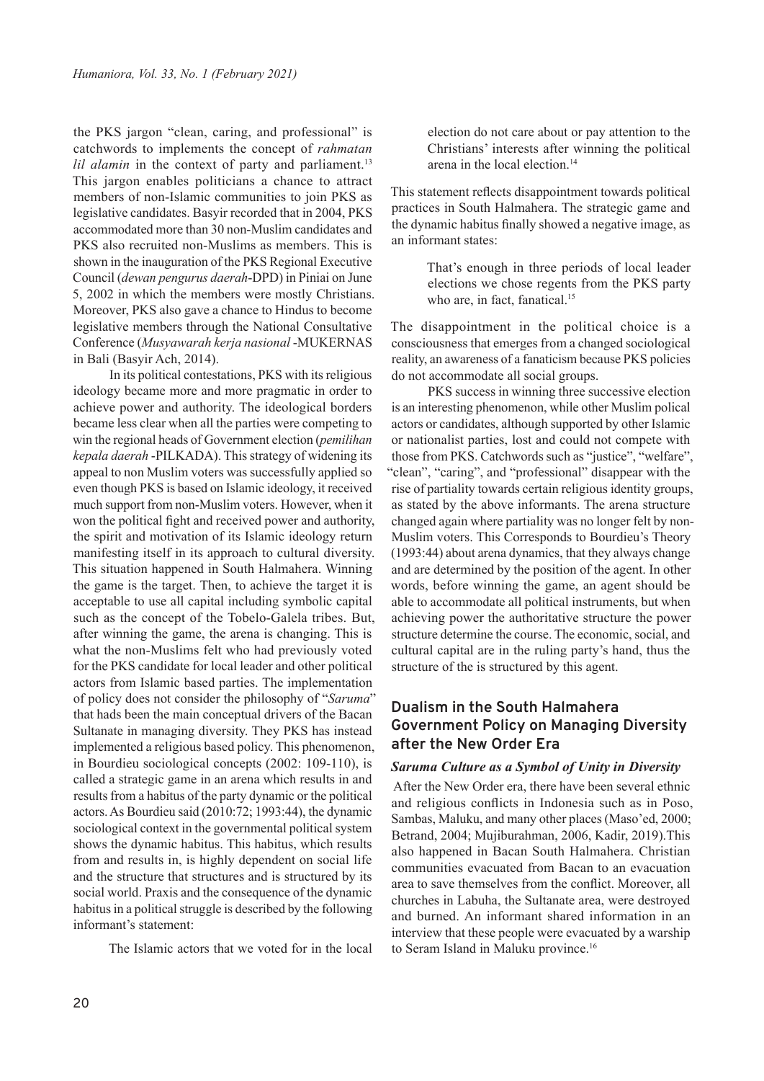the PKS jargon "clean, caring, and professional" is catchwords to implements the concept of *rahmatan lil alamin* in the context of party and parliament.<sup>13</sup> This jargon enables politicians a chance to attract members of non-Islamic communities to join PKS as legislative candidates. Basyir recorded that in 2004, PKS accommodated more than 30 non-Muslim candidates and PKS also recruited non-Muslims as members. This is shown in the inauguration of the PKS Regional Executive Council (*dewan pengurus daerah*-DPD) in Piniai on June 5, 2002 in which the members were mostly Christians. Moreover, PKS also gave a chance to Hindus to become legislative members through the National Consultative Conference (*Musyawarah kerja nasional* -MUKERNAS in Bali (Basyir Ach, 2014).

In its political contestations, PKS with its religious ideology became more and more pragmatic in order to achieve power and authority. The ideological borders became less clear when all the parties were competing to win the regional heads of Government election (*pemilihan kepala daerah* -PILKADA). This strategy of widening its appeal to non Muslim voters was successfully applied so even though PKS is based on Islamic ideology, it received much support from non-Muslim voters. However, when it won the political fight and received power and authority, the spirit and motivation of its Islamic ideology return manifesting itself in its approach to cultural diversity. This situation happened in South Halmahera. Winning the game is the target. Then, to achieve the target it is acceptable to use all capital including symbolic capital such as the concept of the Tobelo-Galela tribes. But, after winning the game, the arena is changing. This is what the non-Muslims felt who had previously voted for the PKS candidate for local leader and other political actors from Islamic based parties. The implementation of policy does not consider the philosophy of "*Saruma*" that hads been the main conceptual drivers of the Bacan Sultanate in managing diversity. They PKS has instead implemented a religious based policy. This phenomenon, in Bourdieu sociological concepts (2002: 109-110), is called a strategic game in an arena which results in and results from a habitus of the party dynamic or the political actors. As Bourdieu said (2010:72; 1993:44), the dynamic sociological context in the governmental political system shows the dynamic habitus. This habitus, which results from and results in, is highly dependent on social life and the structure that structures and is structured by its social world. Praxis and the consequence of the dynamic habitus in a political struggle is described by the following informant's statement:

The Islamic actors that we voted for in the local

election do not care about or pay attention to the Christians' interests after winning the political arena in the local election.<sup>14</sup>

This statement reflects disappointment towards political practices in South Halmahera. The strategic game and the dynamic habitus finally showed a negative image, as an informant states:

> That's enough in three periods of local leader elections we chose regents from the PKS party who are, in fact, fanatical.<sup>15</sup>

The disappointment in the political choice is a consciousness that emerges from a changed sociological reality, an awareness of a fanaticism because PKS policies do not accommodate all social groups.

PKS success in winning three successive election is an interesting phenomenon, while other Muslim polical actors or candidates, although supported by other Islamic or nationalist parties, lost and could not compete with those from PKS. Catchwords such as "justice", "welfare", "clean", "caring", and "professional" disappear with the rise of partiality towards certain religious identity groups, as stated by the above informants. The arena structure changed again where partiality was no longer felt by non-Muslim voters. This Corresponds to Bourdieu's Theory (1993:44) about arena dynamics, that they always change and are determined by the position of the agent. In other words, before winning the game, an agent should be able to accommodate all political instruments, but when achieving power the authoritative structure the power structure determine the course. The economic, social, and cultural capital are in the ruling party's hand, thus the structure of the is structured by this agent.

# **Dualism in the South Halmahera Government Policy on Managing Diversity after the New Order Era**

#### *Saruma Culture as a Symbol of Unity in Diversity*

 After the New Order era, there have been several ethnic and religious conflicts in Indonesia such as in Poso, Sambas, Maluku, and many other places (Maso'ed, 2000; Betrand, 2004; Mujiburahman, 2006, Kadir, 2019).This also happened in Bacan South Halmahera. Christian communities evacuated from Bacan to an evacuation area to save themselves from the conflict. Moreover, all churches in Labuha, the Sultanate area, were destroyed and burned. An informant shared information in an interview that these people were evacuated by a warship to Seram Island in Maluku province.<sup>16</sup>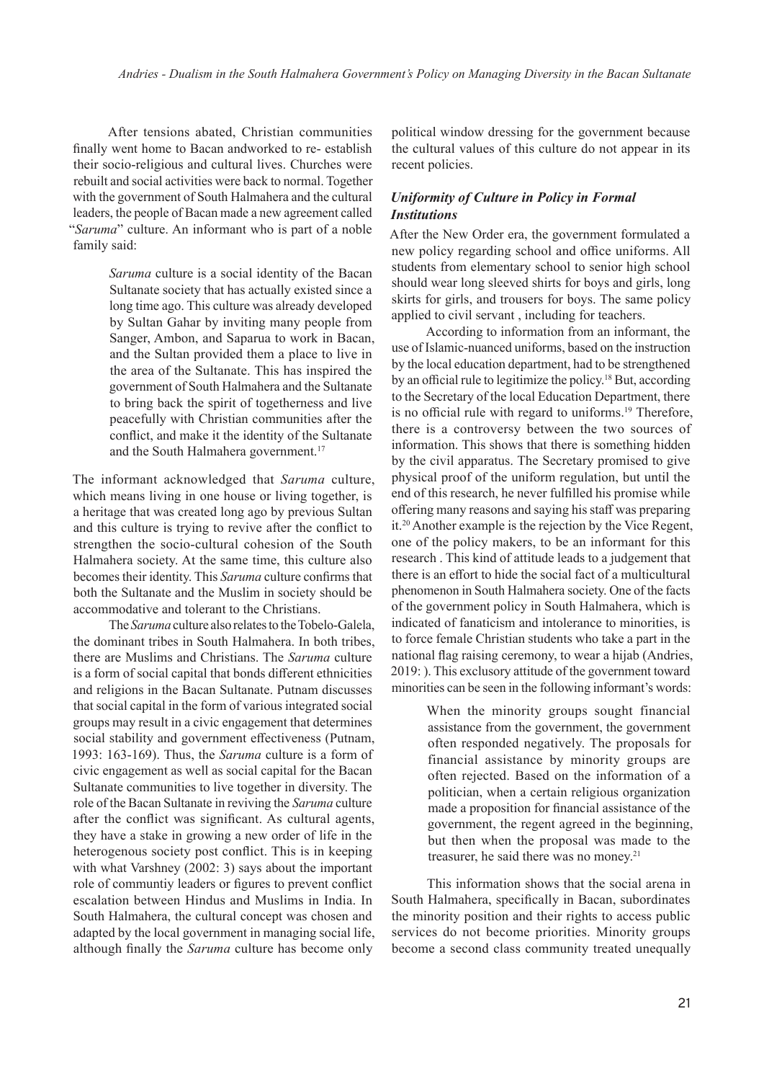After tensions abated, Christian communities finally went home to Bacan andworked to re- establish their socio-religious and cultural lives. Churches were rebuilt and social activities were back to normal. Together with the government of South Halmahera and the cultural leaders, the people of Bacan made a new agreement called "*Saruma*" culture. An informant who is part of a noble family said:

> *Saruma* culture is a social identity of the Bacan Sultanate society that has actually existed since a long time ago. This culture was already developed by Sultan Gahar by inviting many people from Sanger, Ambon, and Saparua to work in Bacan, and the Sultan provided them a place to live in the area of the Sultanate. This has inspired the government of South Halmahera and the Sultanate to bring back the spirit of togetherness and live peacefully with Christian communities after the conflict, and make it the identity of the Sultanate and the South Halmahera government.<sup>17</sup>

The informant acknowledged that *Saruma* culture, which means living in one house or living together, is a heritage that was created long ago by previous Sultan and this culture is trying to revive after the conflict to strengthen the socio-cultural cohesion of the South Halmahera society. At the same time, this culture also becomes their identity. This *Saruma* culture confirms that both the Sultanate and the Muslim in society should be accommodative and tolerant to the Christians.

The *Saruma* culture also relates to the Tobelo-Galela, the dominant tribes in South Halmahera. In both tribes, there are Muslims and Christians. The *Saruma* culture is a form of social capital that bonds different ethnicities and religions in the Bacan Sultanate. Putnam discusses that social capital in the form of various integrated social groups may result in a civic engagement that determines social stability and government effectiveness (Putnam, 1993: 163-169). Thus, the *Saruma* culture is a form of civic engagement as well as social capital for the Bacan Sultanate communities to live together in diversity. The role of the Bacan Sultanate in reviving the *Saruma* culture after the conflict was significant. As cultural agents, they have a stake in growing a new order of life in the heterogenous society post conflict. This is in keeping with what Varshney (2002: 3) says about the important role of communtiy leaders or figures to prevent conflict escalation between Hindus and Muslims in India. In South Halmahera, the cultural concept was chosen and adapted by the local government in managing social life, although finally the *Saruma* culture has become only

political window dressing for the government because the cultural values of this culture do not appear in its recent policies.

## *Uniformity of Culture in Policy in Formal Institutions*

After the New Order era, the government formulated a new policy regarding school and office uniforms. All students from elementary school to senior high school should wear long sleeved shirts for boys and girls, long skirts for girls, and trousers for boys. The same policy applied to civil servant , including for teachers.

According to information from an informant, the use of Islamic-nuanced uniforms, based on the instruction by the local education department, had to be strengthened by an official rule to legitimize the policy.<sup>18</sup> But, according to the Secretary of the local Education Department, there is no official rule with regard to uniforms.<sup>19</sup> Therefore, there is a controversy between the two sources of information. This shows that there is something hidden by the civil apparatus. The Secretary promised to give physical proof of the uniform regulation, but until the end of this research, he never fulfilled his promise while offering many reasons and saying his staff was preparing it.<sup>20</sup> Another example is the rejection by the Vice Regent, one of the policy makers, to be an informant for this research . This kind of attitude leads to a judgement that there is an effort to hide the social fact of a multicultural phenomenon in South Halmahera society. One of the facts of the government policy in South Halmahera, which is indicated of fanaticism and intolerance to minorities, is to force female Christian students who take a part in the national flag raising ceremony, to wear a hijab (Andries, 2019: ). This exclusory attitude of the government toward minorities can be seen in the following informant's words:

> When the minority groups sought financial assistance from the government, the government often responded negatively. The proposals for financial assistance by minority groups are often rejected. Based on the information of a politician, when a certain religious organization made a proposition for financial assistance of the government, the regent agreed in the beginning, but then when the proposal was made to the treasurer, he said there was no money.<sup>21</sup>

This information shows that the social arena in South Halmahera, specifically in Bacan, subordinates the minority position and their rights to access public services do not become priorities. Minority groups become a second class community treated unequally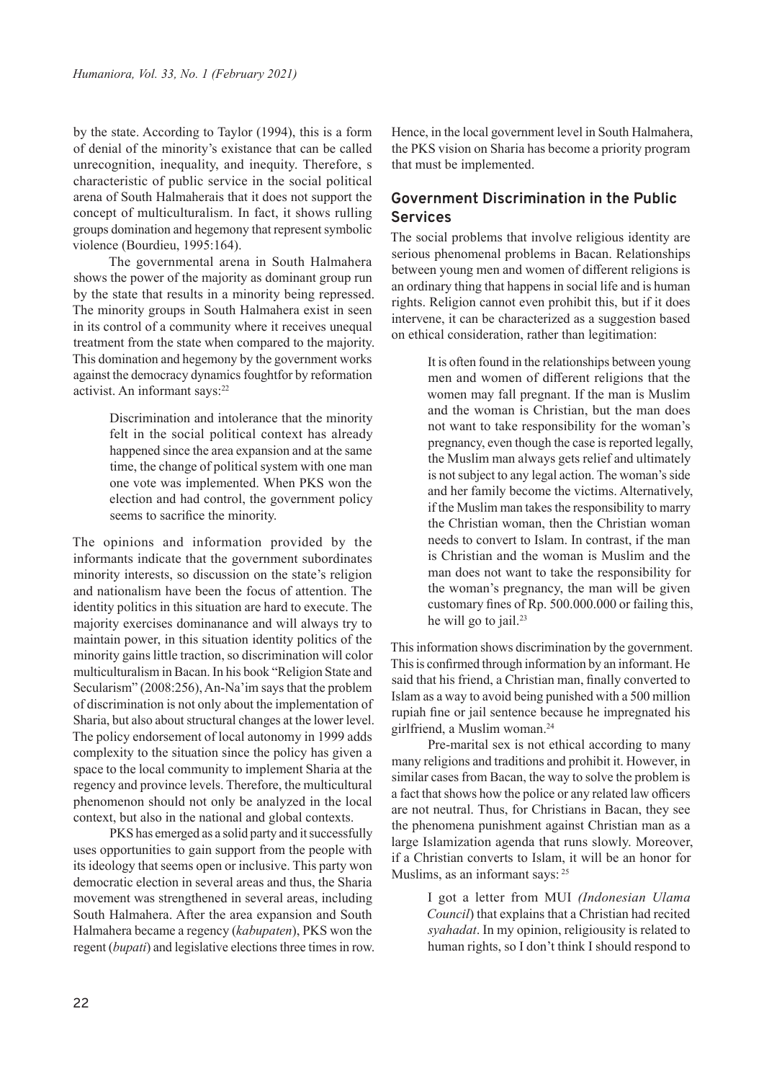by the state. According to Taylor (1994), this is a form of denial of the minority's existance that can be called unrecognition, inequality, and inequity. Therefore, s characteristic of public service in the social political arena of South Halmaherais that it does not support the concept of multiculturalism. In fact, it shows rulling groups domination and hegemony that represent symbolic violence (Bourdieu, 1995:164).

The governmental arena in South Halmahera shows the power of the majority as dominant group run by the state that results in a minority being repressed. The minority groups in South Halmahera exist in seen in its control of a community where it receives unequal treatment from the state when compared to the majority. This domination and hegemony by the government works against the democracy dynamics foughtfor by reformation activist. An informant says:<sup>22</sup>

> Discrimination and intolerance that the minority felt in the social political context has already happened since the area expansion and at the same time, the change of political system with one man one vote was implemented. When PKS won the election and had control, the government policy seems to sacrifice the minority.

The opinions and information provided by the informants indicate that the government subordinates minority interests, so discussion on the state's religion and nationalism have been the focus of attention. The identity politics in this situation are hard to execute. The majority exercises dominanance and will always try to maintain power, in this situation identity politics of the minority gains little traction, so discrimination will color multiculturalism in Bacan. In his book "Religion State and Secularism" (2008:256), An-Na'im says that the problem of discrimination is not only about the implementation of Sharia, but also about structural changes at the lower level. The policy endorsement of local autonomy in 1999 adds complexity to the situation since the policy has given a space to the local community to implement Sharia at the regency and province levels. Therefore, the multicultural phenomenon should not only be analyzed in the local context, but also in the national and global contexts.

PKS has emerged as a solid party and it successfully uses opportunities to gain support from the people with its ideology that seems open or inclusive. This party won democratic election in several areas and thus, the Sharia movement was strengthened in several areas, including South Halmahera. After the area expansion and South Halmahera became a regency (*kabupaten*), PKS won the regent (*bupati*) and legislative elections three times in row. Hence, in the local government level in South Halmahera, the PKS vision on Sharia has become a priority program that must be implemented.

# **Government Discrimination in the Public Services**

The social problems that involve religious identity are serious phenomenal problems in Bacan. Relationships between young men and women of different religions is an ordinary thing that happens in social life and is human rights. Religion cannot even prohibit this, but if it does intervene, it can be characterized as a suggestion based on ethical consideration, rather than legitimation:

> It is often found in the relationships between young men and women of different religions that the women may fall pregnant. If the man is Muslim and the woman is Christian, but the man does not want to take responsibility for the woman's pregnancy, even though the case is reported legally, the Muslim man always gets relief and ultimately is not subject to any legal action. The woman's side and her family become the victims. Alternatively, if the Muslim man takes the responsibility to marry the Christian woman, then the Christian woman needs to convert to Islam. In contrast, if the man is Christian and the woman is Muslim and the man does not want to take the responsibility for the woman's pregnancy, the man will be given customary fines of Rp. 500.000.000 or failing this, he will go to jail.<sup>23</sup>

This information shows discrimination by the government. This is confirmed through information by an informant. He said that his friend, a Christian man, finally converted to Islam as a way to avoid being punished with a 500 million rupiah fine or jail sentence because he impregnated his girlfriend, a Muslim woman.<sup>24</sup>

Pre-marital sex is not ethical according to many many religions and traditions and prohibit it. However, in similar cases from Bacan, the way to solve the problem is a fact that shows how the police or any related law officers are not neutral. Thus, for Christians in Bacan, they see the phenomena punishment against Christian man as a large Islamization agenda that runs slowly. Moreover, if a Christian converts to Islam, it will be an honor for Muslims, as an informant says:  $25$ 

> I got a letter from MUI *(Indonesian Ulama Council*) that explains that a Christian had recited *syahadat*. In my opinion, religiousity is related to human rights, so I don't think I should respond to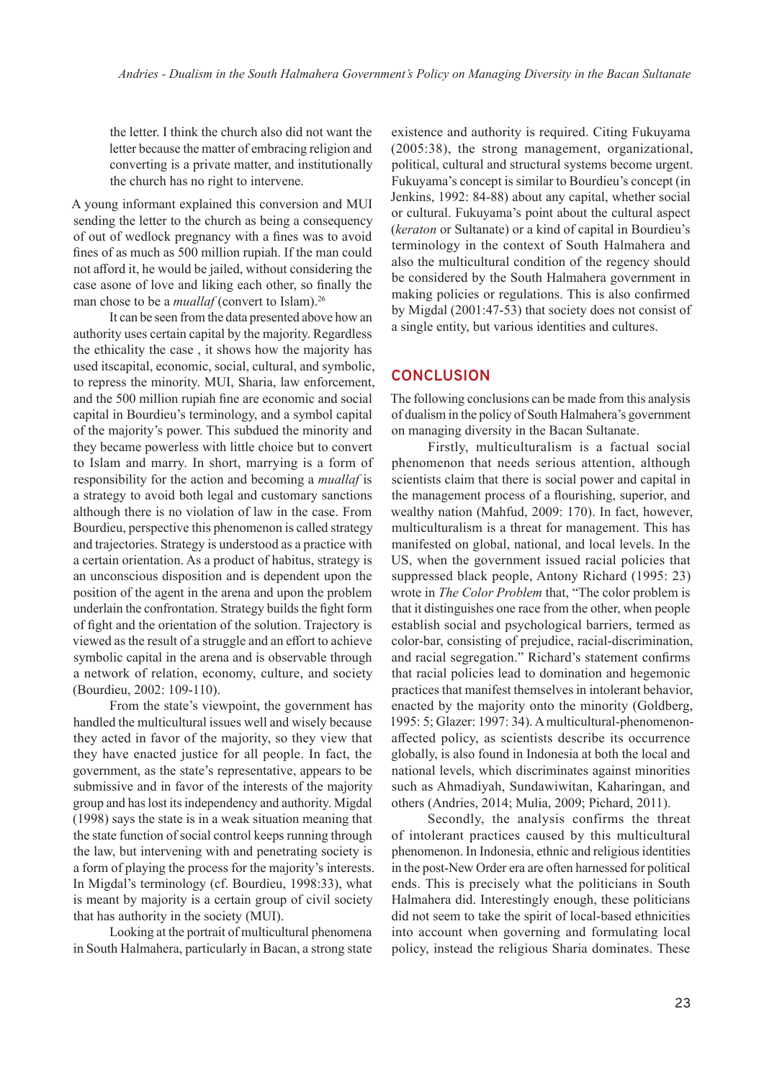the letter. I think the church also did not want the letter because the matter of embracing religion and converting is a private matter, and institutionally the church has no right to intervene.

A young informant explained this conversion and MUI sending the letter to the church as being a consequency of out of wedlock pregnancy with a fines was to avoid fines of as much as 500 million rupiah. If the man could not afford it, he would be jailed, without considering the case asone of love and liking each other, so finally the man chose to be a *muallaf* (convert to Islam).<sup>26</sup>

It can be seen from the data presented above how an authority uses certain capital by the majority. Regardless the ethicality the case , it shows how the majority has used itscapital, economic, social, cultural, and symbolic, to repress the minority. MUI, Sharia, law enforcement, and the 500 million rupiah fine are economic and social capital in Bourdieu's terminology, and a symbol capital of the majority's power. This subdued the minority and they became powerless with little choice but to convert to Islam and marry. In short, marrying is a form of responsibility for the action and becoming a *muallaf* is a strategy to avoid both legal and customary sanctions although there is no violation of law in the case. From Bourdieu, perspective this phenomenon is called strategy and trajectories. Strategy is understood as a practice with a certain orientation. As a product of habitus, strategy is an unconscious disposition and is dependent upon the position of the agent in the arena and upon the problem underlain the confrontation. Strategy builds the fight form of fight and the orientation of the solution. Trajectory is viewed as the result of a struggle and an effort to achieve symbolic capital in the arena and is observable through a network of relation, economy, culture, and society (Bourdieu, 2002: 109-110).

From the state's viewpoint, the government has handled the multicultural issues well and wisely because they acted in favor of the majority, so they view that they have enacted justice for all people. In fact, the government, as the state's representative, appears to be submissive and in favor of the interests of the majority group and has lost its independency and authority. Migdal (1998) says the state is in a weak situation meaning that the state function of social control keeps running through the law, but intervening with and penetrating society is a form of playing the process for the majority's interests. In Migdal's terminology (cf. Bourdieu, 1998:33), what is meant by majority is a certain group of civil society that has authority in the society (MUI).

Looking at the portrait of multicultural phenomena in South Halmahera, particularly in Bacan, a strong state

existence and authority is required. Citing Fukuyama (2005:38), the strong management, organizational, political, cultural and structural systems become urgent. Fukuyama's concept is similar to Bourdieu's concept (in Jenkins, 1992: 84-88) about any capital, whether social or cultural. Fukuyama's point about the cultural aspect (*keraton* or Sultanate) or a kind of capital in Bourdieu's terminology in the context of South Halmahera and also the multicultural condition of the regency should be considered by the South Halmahera government in making policies or regulations. This is also confirmed by Migdal (2001:47-53) that society does not consist of a single entity, but various identities and cultures.

## **CONCLUSION**

The following conclusions can be made from this analysis of dualism in the policy of South Halmahera's government on managing diversity in the Bacan Sultanate.

Firstly, multiculturalism is a factual social phenomenon that needs serious attention, although scientists claim that there is social power and capital in the management process of a flourishing, superior, and wealthy nation (Mahfud, 2009: 170). In fact, however, multiculturalism is a threat for management. This has manifested on global, national, and local levels. In the US, when the government issued racial policies that suppressed black people, Antony Richard (1995: 23) wrote in *The Color Problem* that, "The color problem is that it distinguishes one race from the other, when people establish social and psychological barriers, termed as color-bar, consisting of prejudice, racial-discrimination, and racial segregation." Richard's statement confirms that racial policies lead to domination and hegemonic practices that manifest themselves in intolerant behavior, enacted by the majority onto the minority (Goldberg, 1995: 5; Glazer: 1997: 34). A multicultural-phenomenonaffected policy, as scientists describe its occurrence globally, is also found in Indonesia at both the local and national levels, which discriminates against minorities such as Ahmadiyah, Sundawiwitan, Kaharingan, and others (Andries, 2014; Mulia, 2009; Pichard, 2011).

Secondly, the analysis confirms the threat of intolerant practices caused by this multicultural phenomenon. In Indonesia, ethnic and religious identities in the post-New Order era are often harnessed for political ends. This is precisely what the politicians in South Halmahera did. Interestingly enough, these politicians did not seem to take the spirit of local-based ethnicities into account when governing and formulating local policy, instead the religious Sharia dominates. These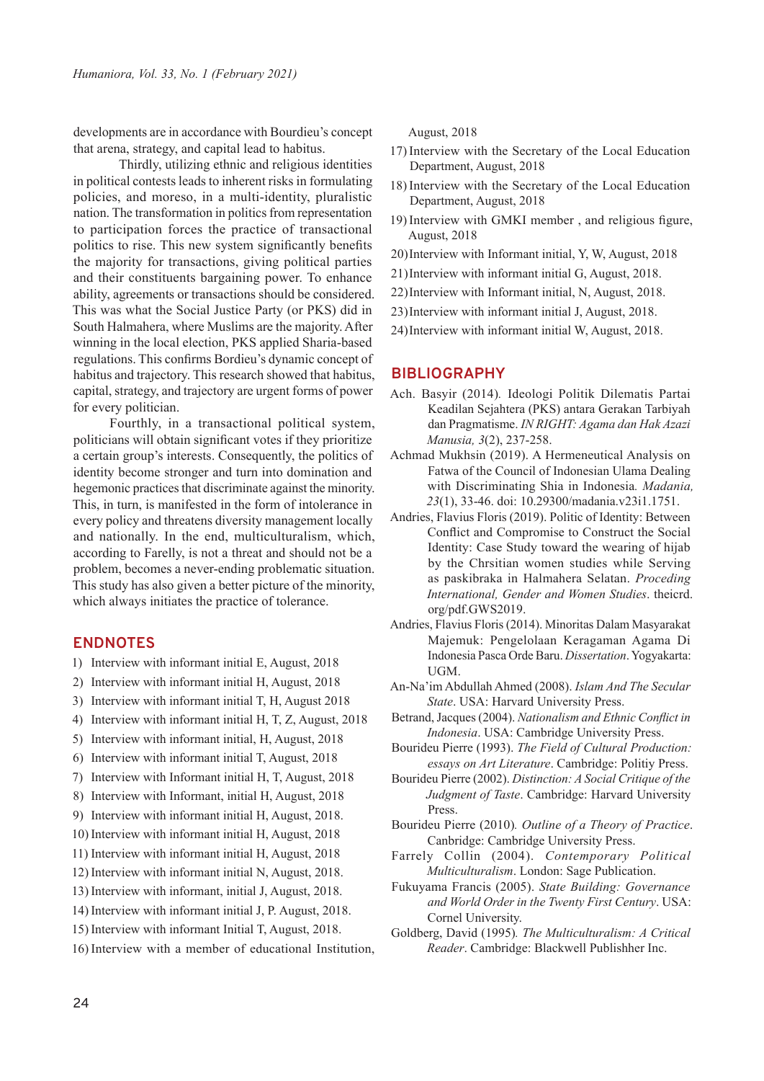developments are in accordance with Bourdieu's concept that arena, strategy, and capital lead to habitus.

 Thirdly, utilizing ethnic and religious identities in political contests leads to inherent risks in formulating policies, and moreso, in a multi-identity, pluralistic nation. The transformation in politics from representation to participation forces the practice of transactional politics to rise. This new system significantly benefits the majority for transactions, giving political parties and their constituents bargaining power. To enhance ability, agreements or transactions should be considered. This was what the Social Justice Party (or PKS) did in South Halmahera, where Muslims are the majority. After winning in the local election, PKS applied Sharia-based regulations. This confirms Bordieu's dynamic concept of habitus and trajectory. This research showed that habitus, capital, strategy, and trajectory are urgent forms of power for every politician.

Fourthly, in a transactional political system, politicians will obtain significant votes if they prioritize a certain group's interests. Consequently, the politics of identity become stronger and turn into domination and hegemonic practices that discriminate against the minority. This, in turn, is manifested in the form of intolerance in every policy and threatens diversity management locally and nationally. In the end, multiculturalism, which, according to Farelly, is not a threat and should not be a problem, becomes a never-ending problematic situation. This study has also given a better picture of the minority, which always initiates the practice of tolerance.

## **ENDNOTES**

- 1) Interview with informant initial E, August, 2018
- 2) Interview with informant initial H, August, 2018
- 3) Interview with informant initial T, H, August 2018
- 4) Interview with informant initial H, T, Z, August, 2018
- 5) Interview with informant initial, H, August, 2018
- 6) Interview with informant initial T, August, 2018
- 7) Interview with Informant initial H, T, August, 2018
- 8) Interview with Informant, initial H, August, 2018
- 9) Interview with informant initial H, August, 2018.
- 10) Interview with informant initial H, August, 2018
- 11) Interview with informant initial H, August, 2018
- 12) Interview with informant initial N, August, 2018.
- 13) Interview with informant, initial J, August, 2018.
- 14) Interview with informant initial J, P. August, 2018.
- 15) Interview with informant Initial T, August, 2018.
- 16) Interview with a member of educational Institution,

August, 2018

- 17) Interview with the Secretary of the Local Education Department, August, 2018
- 18) Interview with the Secretary of the Local Education Department, August, 2018
- 19) Interview with GMKI member , and religious figure, August, 2018
- 20) Interview with Informant initial, Y, W, August, 2018
- 21) Interview with informant initial G, August, 2018.
- 22) Interview with Informant initial, N, August, 2018.
- 23) Interview with informant initial J, August, 2018.
- 24) Interview with informant initial W, August, 2018.

#### **BIBLIOGRAPHY**

- Ach. Basyir (2014)*.* Ideologi Politik Dilematis Partai Keadilan Sejahtera (PKS) antara Gerakan Tarbiyah dan Pragmatisme. *IN RIGHT: Agama dan Hak Azazi Manusia, 3*(2), 237-258.
- Achmad Mukhsin (2019). A Hermeneutical Analysis on Fatwa of the Council of Indonesian Ulama Dealing with Discriminating Shia in Indonesia*. Madania, 23*(1), 33-46. doi: 10.29300/madania.v23i1.1751.
- Andries, Flavius Floris (2019). Politic of Identity: Between Conflict and Compromise to Construct the Social Identity: Case Study toward the wearing of hijab by the Chrsitian women studies while Serving as paskibraka in Halmahera Selatan. *Proceding International, Gender and Women Studies*. theicrd. org/pdf.GWS2019.
- Andries, Flavius Floris (2014). Minoritas Dalam Masyarakat Majemuk: Pengelolaan Keragaman Agama Di Indonesia Pasca Orde Baru. *Dissertation*. Yogyakarta: UGM.
- An-Na'im Abdullah Ahmed (2008). *Islam And The Secular State*. USA: Harvard University Press.
- Betrand, Jacques (2004). *Nationalism and Ethnic Conflict in Indonesia*. USA: Cambridge University Press.
- Bourideu Pierre (1993). *The Field of Cultural Production: essays on Art Literature*. Cambridge: Politiy Press.
- Bourideu Pierre (2002). *Distinction: A Social Critique of the Judgment of Taste*. Cambridge: Harvard University Press.
- Bourideu Pierre (2010)*. Outline of a Theory of Practice*. Canbridge: Cambridge University Press.
- Farrely Collin (2004). *Contemporary Political Multiculturalism*. London: Sage Publication.
- Fukuyama Francis (2005). *State Building: Governance and World Order in the Twenty First Century*. USA: Cornel University.
- Goldberg, David (1995)*. The Multiculturalism: A Critical Reader*. Cambridge: Blackwell Publishher Inc.